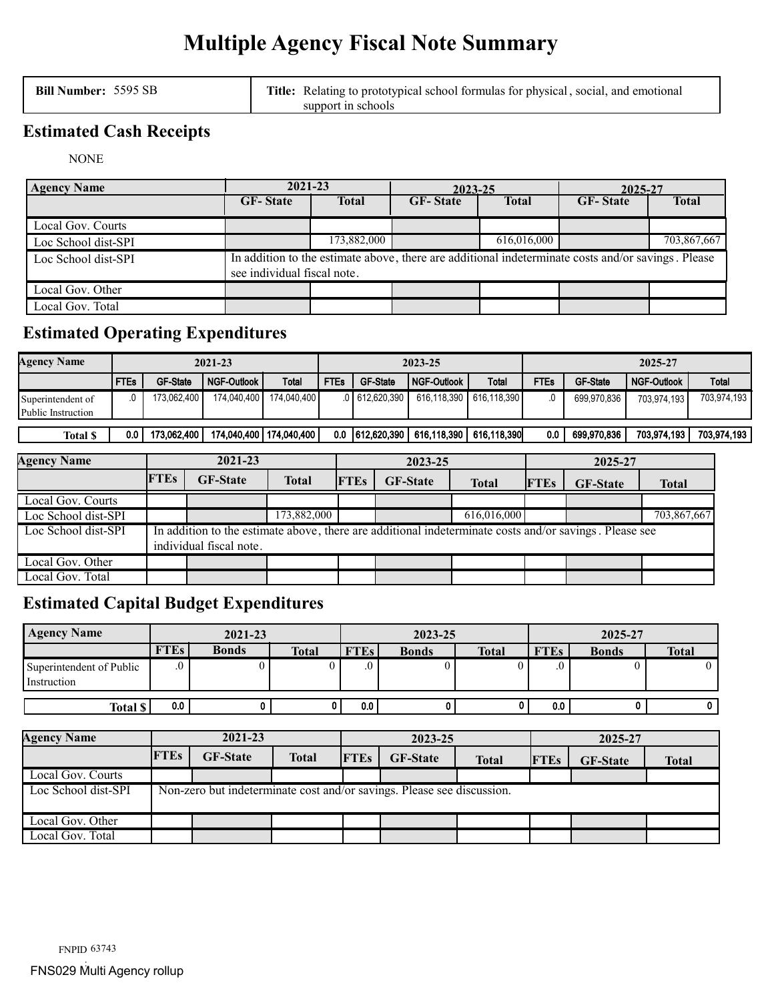# **Multiple Agency Fiscal Note Summary**

**Bill Number:** 5595 SB **Title:** Relating to prototypical school formulas for physical, social, and emotional support in schools

# **Estimated Cash Receipts**

NONE

| <b>Agency Name</b>  | 2021-23                                                                                                                           |              | 2023-25         |              | 2025-27         |              |  |  |  |
|---------------------|-----------------------------------------------------------------------------------------------------------------------------------|--------------|-----------------|--------------|-----------------|--------------|--|--|--|
|                     | <b>GF-State</b>                                                                                                                   | <b>Total</b> | <b>GF-State</b> | <b>Total</b> | <b>GF-State</b> | <b>Total</b> |  |  |  |
| Local Gov. Courts   |                                                                                                                                   |              |                 |              |                 |              |  |  |  |
| Loc School dist-SPI |                                                                                                                                   | 173,882,000  |                 | 616,016,000  |                 | 703,867,667  |  |  |  |
| Loc School dist-SPI | In addition to the estimate above, there are additional indeterminate costs and/or savings. Please<br>see individual fiscal note. |              |                 |              |                 |              |  |  |  |
| Local Gov. Other    |                                                                                                                                   |              |                 |              |                 |              |  |  |  |
| Local Gov. Total    |                                                                                                                                   |              |                 |              |                 |              |  |  |  |

# **Estimated Operating Expenditures**

| <b>Agency Name</b>                      | 2021-23     |                 |                    |                           | 2023-25     |                  |                           |              | 2025-27 |                 |                    |             |
|-----------------------------------------|-------------|-----------------|--------------------|---------------------------|-------------|------------------|---------------------------|--------------|---------|-----------------|--------------------|-------------|
|                                         | <b>FTEs</b> | <b>GF-State</b> | <b>NGF-Outlook</b> | Total                     | <b>FTEs</b> | <b>GF-State</b>  | l NGF-Outlook             | <b>Total</b> | FTEs    | <b>GF-State</b> | <b>NGF-Outlook</b> | Total       |
| Superintendent of<br>Public Instruction |             | 173.062.400     | 174.040.400        | 174.040.400               |             | $.0$ 612,620,390 | 616.118.390               | 616.118.390  |         | 699.970.836     | 703.974.193        | 703,974,193 |
| <b>Total \$</b>                         | 0.0         | 173.062.400     |                    | 174.040.400   174.040.400 |             | 0.0 612,620,390  | 616.118.390   616.118.390 |              | 0.0     | 699.970.836     | 703.974.193        | 703,974,193 |

| <b>Agency Name</b>  |                                                                                                                                   | 2021-23         |              |             | 2023-25         |              | 2025-27     |                 |              |
|---------------------|-----------------------------------------------------------------------------------------------------------------------------------|-----------------|--------------|-------------|-----------------|--------------|-------------|-----------------|--------------|
|                     | <b>FTEs</b>                                                                                                                       | <b>GF-State</b> | <b>Total</b> | <b>FTEs</b> | <b>GF-State</b> | <b>Total</b> | <b>FTEs</b> | <b>GF-State</b> | <b>Total</b> |
| Local Gov. Courts   |                                                                                                                                   |                 |              |             |                 |              |             |                 |              |
| Loc School dist-SPI |                                                                                                                                   |                 | 173,882,000  |             |                 | 616,016,000  |             |                 | 703,867,667  |
| Loc School dist-SPI | In addition to the estimate above, there are additional indeterminate costs and/or savings. Please see<br>individual fiscal note. |                 |              |             |                 |              |             |                 |              |
| Local Gov. Other    |                                                                                                                                   |                 |              |             |                 |              |             |                 |              |
| Local Gov. Total    |                                                                                                                                   |                 |              |             |                 |              |             |                 |              |

# **Estimated Capital Budget Expenditures**

| <b>Agency Name</b>                      | 2021-23     |              |              |             | 2023-25      |              |             | 2025-27      |              |  |
|-----------------------------------------|-------------|--------------|--------------|-------------|--------------|--------------|-------------|--------------|--------------|--|
|                                         | <b>FTEs</b> | <b>Bonds</b> | <b>Total</b> | <b>FTEs</b> | <b>Bonds</b> | <b>Total</b> | <b>FTEs</b> | <b>Bonds</b> | <b>Total</b> |  |
| Superintendent of Public<br>Instruction |             |              |              | .υ          |              |              |             |              | U            |  |
| Total \$                                | 0.0         |              |              | 0.0         |              |              | 0.0         |              | 0            |  |

| <b>Agency Name</b>  | 2021-23                                                                |                 |              | 2023-25     |                 |              | 2025-27     |                 |              |
|---------------------|------------------------------------------------------------------------|-----------------|--------------|-------------|-----------------|--------------|-------------|-----------------|--------------|
|                     | <b>FTEs</b>                                                            | <b>GF-State</b> | <b>Total</b> | <b>FTEs</b> | <b>GF-State</b> | <b>Total</b> | <b>FTEs</b> | <b>GF-State</b> | <b>Total</b> |
| Local Gov. Courts   |                                                                        |                 |              |             |                 |              |             |                 |              |
| Loc School dist-SPI | Non-zero but indeterminate cost and/or savings. Please see discussion. |                 |              |             |                 |              |             |                 |              |
| Local Gov. Other    |                                                                        |                 |              |             |                 |              |             |                 |              |
| Local Gov. Total    |                                                                        |                 |              |             |                 |              |             |                 |              |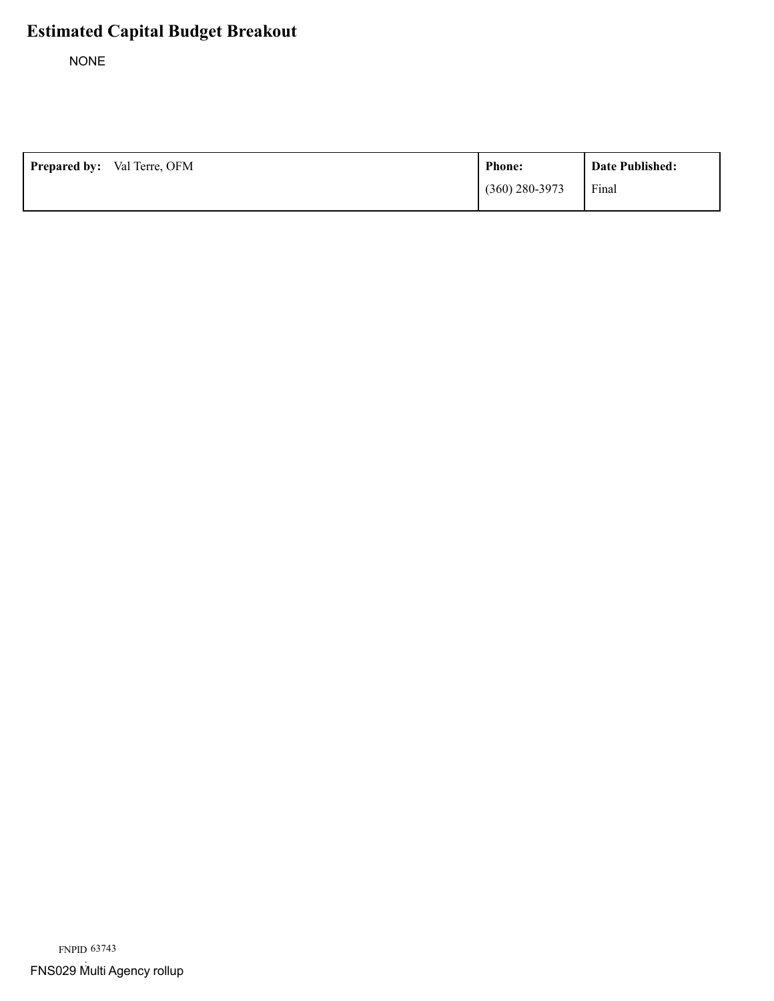NONE

| <b>Prepared by:</b> Val Terre, OFM | <b>Phone:</b>    | Date Published: |
|------------------------------------|------------------|-----------------|
|                                    | $(360)$ 280-3973 | Final           |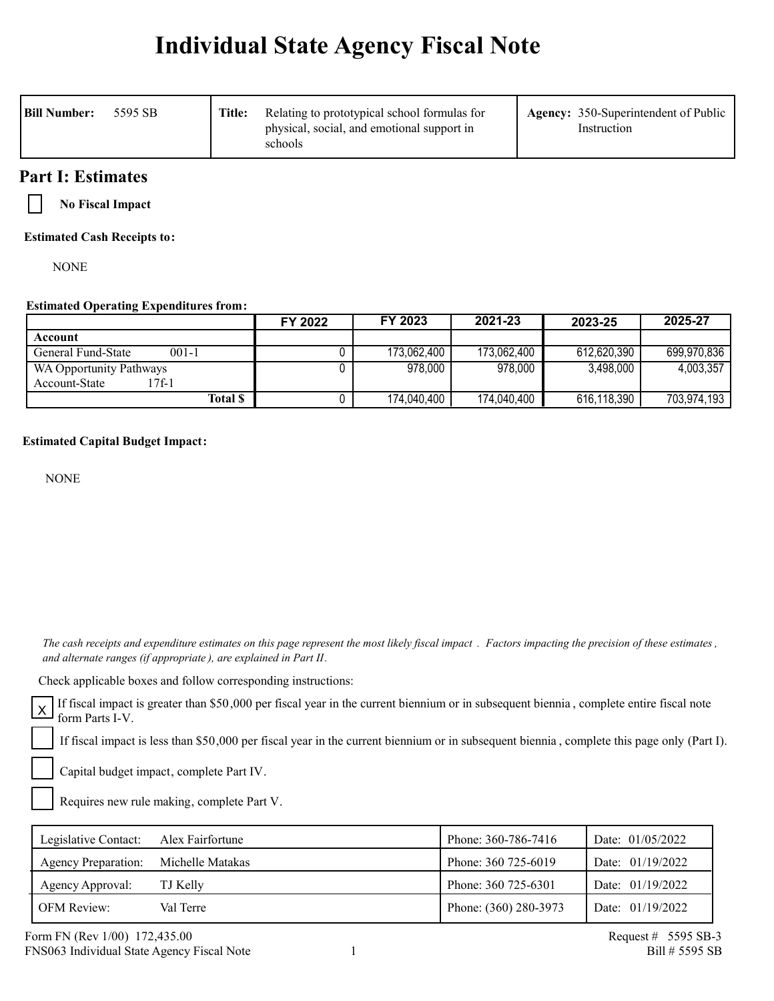# **Individual State Agency Fiscal Note**

| <b>Bill Number:</b><br>5595 SB | Title: | Relating to prototypical school formulas for<br>physical, social, and emotional support in<br>schools | <b>Agency:</b> 350-Superintendent of Public<br>Instruction |
|--------------------------------|--------|-------------------------------------------------------------------------------------------------------|------------------------------------------------------------|
|--------------------------------|--------|-------------------------------------------------------------------------------------------------------|------------------------------------------------------------|

# **Part I: Estimates**

**No Fiscal Impact**

**Estimated Cash Receipts to:**

**NONE** 

## **Estimated Operating Expenditures from:**

|                                 | FY 2022 | FY 2023     | 2021-23     | 2023-25     | 2025-27     |
|---------------------------------|---------|-------------|-------------|-------------|-------------|
| Account                         |         |             |             |             |             |
| $001 - 1$<br>General Fund-State |         | 173,062,400 | 173,062,400 | 612,620,390 | 699,970,836 |
| WA Opportunity Pathways         |         | 978,000     | 978,000     | 3,498,000   | 4,003,357   |
| 7f-1<br>Account-State           |         |             |             |             |             |
| Total \$                        |         | 174,040,400 | 174,040,400 | 616,118,390 | 703,974,193 |

## **Estimated Capital Budget Impact:**

NONE

 *The cash receipts and expenditure estimates on this page represent the most likely fiscal impact . Factors impacting the precision of these estimates , and alternate ranges (if appropriate ), are explained in Part II.* 

Check applicable boxes and follow corresponding instructions:

If fiscal impact is greater than \$50,000 per fiscal year in the current biennium or in subsequent biennia , complete entire fiscal note  $\overline{X}$   $\overline{X}$  form Parts I-V.

If fiscal impact is less than \$50,000 per fiscal year in the current biennium or in subsequent biennia , complete this page only (Part I).

Capital budget impact, complete Part IV.

Requires new rule making, complete Part V.

| Legislative Contact:       | Alex Fairfortune | Phone: 360-786-7416   | Date: $01/05/2022$ |
|----------------------------|------------------|-----------------------|--------------------|
| <b>Agency Preparation:</b> | Michelle Matakas | Phone: 360 725-6019   | Date: $01/19/2022$ |
| Agency Approval:           | TJ Kelly         | Phone: 360 725-6301   | Date: $01/19/2022$ |
| <b>OFM Review:</b>         | Val Terre        | Phone: (360) 280-3973 | Date: $01/19/2022$ |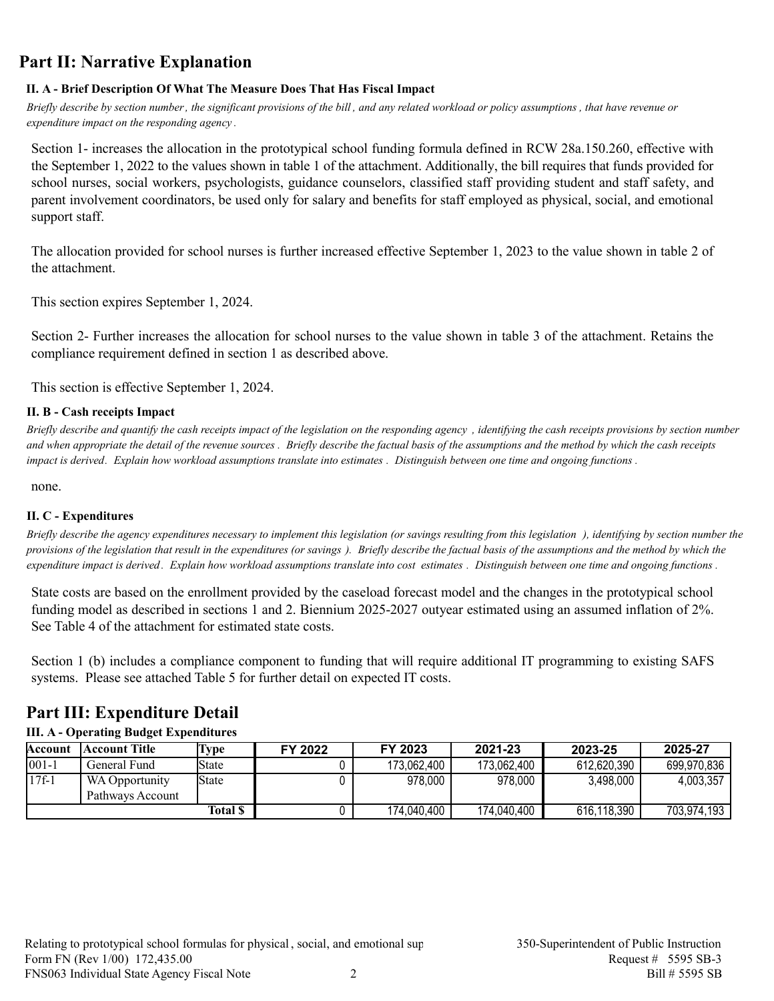# **Part II: Narrative Explanation**

## **II. A - Brief Description Of What The Measure Does That Has Fiscal Impact**

*Briefly describe by section number, the significant provisions of the bill , and any related workload or policy assumptions , that have revenue or expenditure impact on the responding agency .*

Section 1- increases the allocation in the prototypical school funding formula defined in RCW 28a.150.260, effective with the September 1, 2022 to the values shown in table 1 of the attachment. Additionally, the bill requires that funds provided for school nurses, social workers, psychologists, guidance counselors, classified staff providing student and staff safety, and parent involvement coordinators, be used only for salary and benefits for staff employed as physical, social, and emotional support staff.

The allocation provided for school nurses is further increased effective September 1, 2023 to the value shown in table 2 of the attachment.

This section expires September 1, 2024.

Section 2- Further increases the allocation for school nurses to the value shown in table 3 of the attachment. Retains the compliance requirement defined in section 1 as described above.

This section is effective September 1, 2024.

## **II. B - Cash receipts Impact**

*Briefly describe and quantify the cash receipts impact of the legislation on the responding agency , identifying the cash receipts provisions by section number and when appropriate the detail of the revenue sources . Briefly describe the factual basis of the assumptions and the method by which the cash receipts impact is derived. Explain how workload assumptions translate into estimates . Distinguish between one time and ongoing functions .*

none.

## **II. C - Expenditures**

*Briefly describe the agency expenditures necessary to implement this legislation (or savings resulting from this legislation ), identifying by section number the provisions of the legislation that result in the expenditures (or savings ). Briefly describe the factual basis of the assumptions and the method by which the expenditure impact is derived. Explain how workload assumptions translate into cost estimates . Distinguish between one time and ongoing functions .*

State costs are based on the enrollment provided by the caseload forecast model and the changes in the prototypical school funding model as described in sections 1 and 2. Biennium 2025-2027 outyear estimated using an assumed inflation of 2%. See Table 4 of the attachment for estimated state costs.

Section 1 (b) includes a compliance component to funding that will require additional IT programming to existing SAFS systems. Please see attached Table 5 for further detail on expected IT costs.

# **Part III: Expenditure Detail**

## **III. A - Operating Budget Expenditures**

| Account    | Account Title                      | 'Type           | FY 2022 | FY 2023     | 2021-23     | 2023-25     | 2025-27     |
|------------|------------------------------------|-----------------|---------|-------------|-------------|-------------|-------------|
| $ 001 - 1$ | General Fund                       | State           |         | 173,062,400 | 173,062,400 | 612,620,390 | 699,970,836 |
| $17f-1$    | WA Opportunity<br>Pathways Account | <b>State</b>    |         | 978,000     | 978,000     | 3,498,000   | 4,003,357   |
|            |                                    | <b>Total \$</b> |         | 174,040,400 | 174,040,400 | 616,118,390 | 703,974,193 |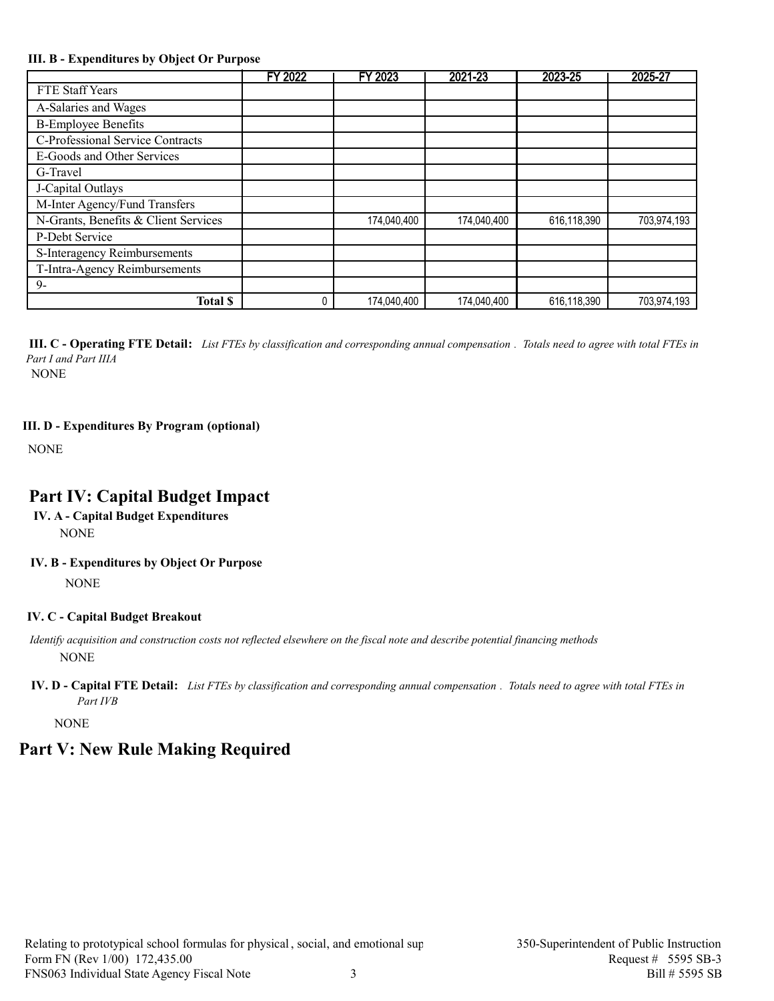#### **III. B - Expenditures by Object Or Purpose**

|                                      | FY 2022 | FY 2023     | 2021-23     | 2023-25     | 2025-27     |
|--------------------------------------|---------|-------------|-------------|-------------|-------------|
| FTE Staff Years                      |         |             |             |             |             |
| A-Salaries and Wages                 |         |             |             |             |             |
| <b>B-Employee Benefits</b>           |         |             |             |             |             |
| C-Professional Service Contracts     |         |             |             |             |             |
| E-Goods and Other Services           |         |             |             |             |             |
| G-Travel                             |         |             |             |             |             |
| J-Capital Outlays                    |         |             |             |             |             |
| M-Inter Agency/Fund Transfers        |         |             |             |             |             |
| N-Grants, Benefits & Client Services |         | 174,040,400 | 174,040,400 | 616,118,390 | 703,974,193 |
| P-Debt Service                       |         |             |             |             |             |
| S-Interagency Reimbursements         |         |             |             |             |             |
| T-Intra-Agency Reimbursements        |         |             |             |             |             |
| $9-$                                 |         |             |             |             |             |
| <b>Total \$</b>                      |         | 174,040,400 | 174,040,400 | 616,118,390 | 703,974,193 |

*Part I and Part IIIA* **III. C - Operating FTE Detail:** *List FTEs by classification and corresponding annual compensation . Totals need to agree with total FTEs in* 

NONE

#### **III. D - Expenditures By Program (optional)**

**NONE** 

# **Part IV: Capital Budget Impact**

- **IV. A Capital Budget Expenditures** NONE
- **IV. B Expenditures by Object Or Purpose**

NONE

## **IV. C - Capital Budget Breakout**

 *Identify acquisition and construction costs not reflected elsewhere on the fiscal note and describe potential financing methods* NONE

**IV. D - Capital FTE Detail:** *List FTEs by classification and corresponding annual compensation . Totals need to agree with total FTEs in Part IVB*

**NONE** 

# **Part V: New Rule Making Required**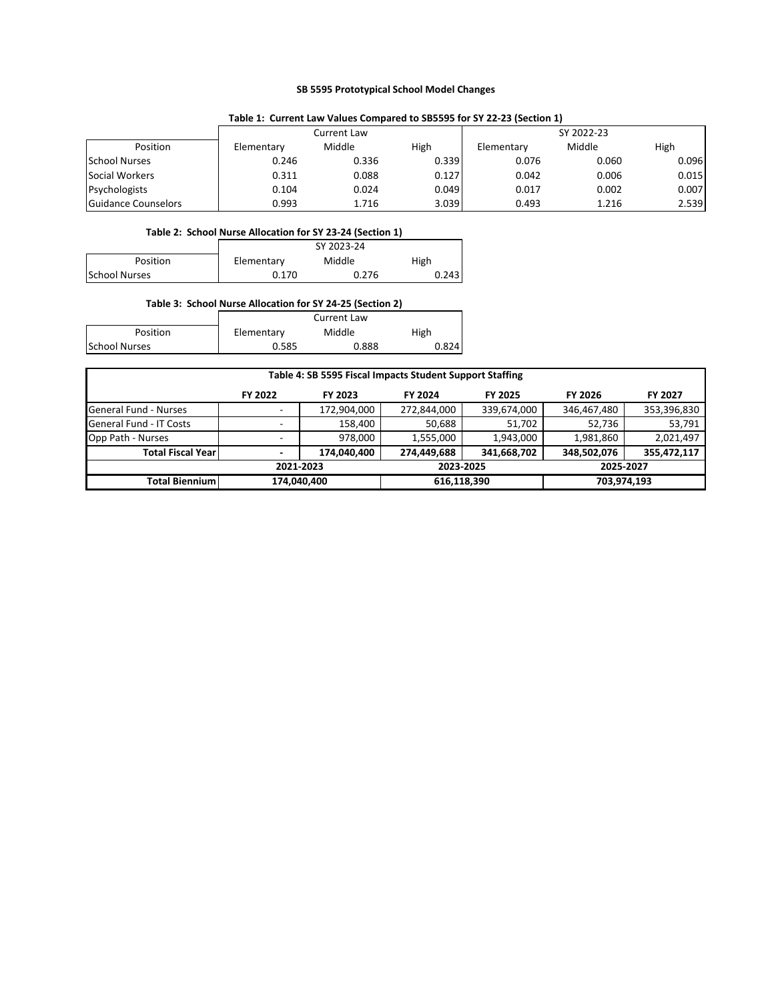#### **SB 5595 Prototypical School Model Changes**

|                      | Table 1: Carlent Law Values Compared to 303333 for 31 LL LS (Section 1) |             |       |            |        |       |  |  |  |  |
|----------------------|-------------------------------------------------------------------------|-------------|-------|------------|--------|-------|--|--|--|--|
|                      |                                                                         | Current Law |       | SY 2022-23 |        |       |  |  |  |  |
| Position             | Elementary                                                              | Middle      | High  | Elementary | Middle | High  |  |  |  |  |
| <b>School Nurses</b> | 0.246                                                                   | 0.336       | 0.339 | 0.076      | 0.060  | 0.096 |  |  |  |  |
| Social Workers       | 0.311                                                                   | 0.088       | 0.127 | 0.042      | 0.006  | 0.015 |  |  |  |  |
| Psychologists        | 0.104                                                                   | 0.024       | 0.049 | 0.017      | 0.002  | 0.007 |  |  |  |  |
| Guidance Counselors  | 0.993                                                                   | 1.716       | 3.039 | 0.493      | 1.216  | 2.539 |  |  |  |  |

#### **Table 1: Current Law Values Compared to SB5595 for SY 22‐23 (Section 1)**

#### **Table 2: School Nurse Allocation for SY 23‐24 (Section 1)**

|                      |            | SY 2023-24 |       |
|----------------------|------------|------------|-------|
| <b>Position</b>      | Elementary | Middle     | High  |
| <b>School Nurses</b> | 0.170      | 0.276      | 0.243 |
|                      |            |            |       |

|                      |            | <b>Current Law</b> |       |
|----------------------|------------|--------------------|-------|
| Position             | Elementary | Middle             | High  |
| <b>School Nurses</b> | 0.585      | 0.888              | 0.824 |

| Table 4: SB 5595 Fiscal Impacts Student Support Staffing |                          |             |             |                |             |                |
|----------------------------------------------------------|--------------------------|-------------|-------------|----------------|-------------|----------------|
|                                                          | FY 2022                  | FY 2023     | FY 2024     | <b>FY 2025</b> | FY 2026     | <b>FY 2027</b> |
| <b>General Fund - Nurses</b>                             |                          | 172,904,000 | 272,844,000 | 339,674,000    | 346,467,480 | 353,396,830    |
| <b>General Fund - IT Costs</b>                           |                          | 158,400     | 50,688      | 51,702         | 52,736      | 53,791         |
| Opp Path - Nurses                                        | $\overline{\phantom{a}}$ | 978.000     | 1,555,000   | 1,943,000      | 1,981,860   | 2,021,497      |
| <b>Total Fiscal Yearl</b>                                |                          | 174,040,400 | 274,449,688 | 341,668,702    | 348,502,076 | 355,472,117    |
| 2021-2023                                                |                          |             | 2023-2025   |                | 2025-2027   |                |
| Total Biennium l                                         | 174,040,400              |             | 616,118,390 |                | 703,974,193 |                |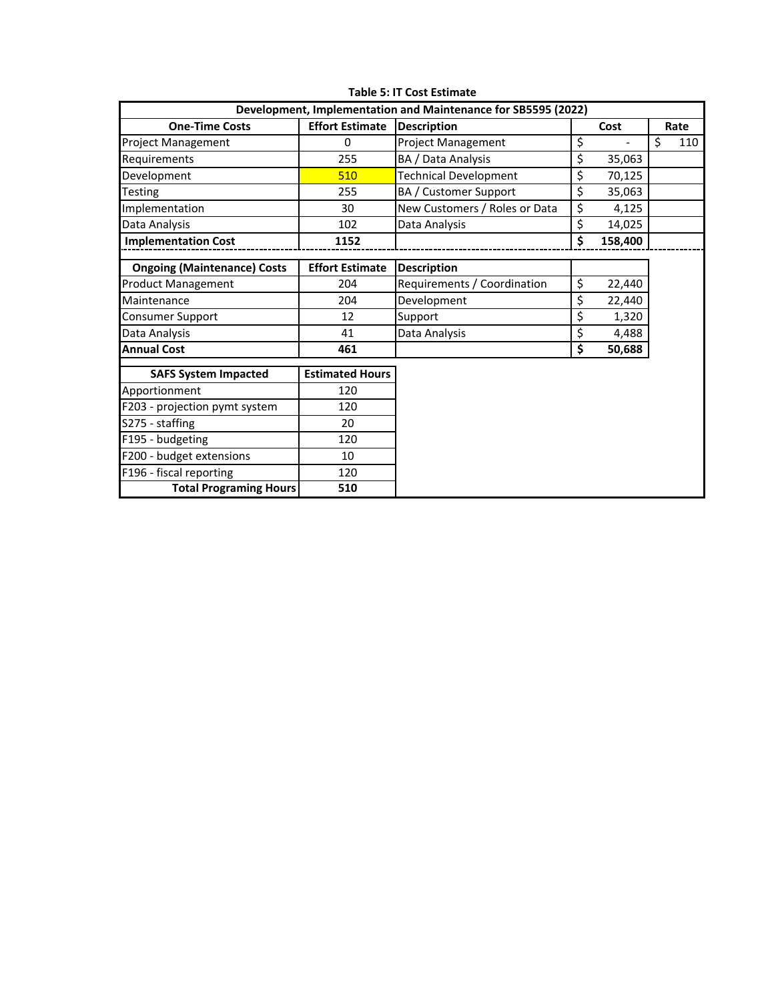|                                    |                        | Development, Implementation and Maintenance for SB5595 (2022) |               |           |
|------------------------------------|------------------------|---------------------------------------------------------------|---------------|-----------|
| <b>One-Time Costs</b>              | <b>Effort Estimate</b> | <b>Description</b>                                            | Cost          | Rate      |
| <b>Project Management</b>          | 0                      | <b>Project Management</b>                                     | \$            | \$<br>110 |
| Requirements                       | 255                    | BA / Data Analysis                                            | \$<br>35,063  |           |
| Development                        | 510                    | <b>Technical Development</b>                                  | \$<br>70,125  |           |
| Testing                            | 255                    | BA / Customer Support                                         | \$<br>35,063  |           |
| Implementation                     | 30                     | New Customers / Roles or Data                                 | \$<br>4,125   |           |
| Data Analysis                      | 102                    | Data Analysis                                                 | \$<br>14,025  |           |
| <b>Implementation Cost</b>         | 1152                   |                                                               | \$<br>158,400 |           |
|                                    |                        |                                                               |               |           |
| <b>Ongoing (Maintenance) Costs</b> | <b>Effort Estimate</b> | <b>Description</b>                                            |               |           |
| <b>Product Management</b>          | 204                    | Requirements / Coordination                                   | \$<br>22,440  |           |
| Maintenance                        | 204                    | Development                                                   | \$<br>22,440  |           |
| <b>Consumer Support</b>            | 12                     | Support                                                       | \$<br>1,320   |           |
| Data Analysis                      | 41                     | Data Analysis                                                 | \$<br>4,488   |           |
| <b>Annual Cost</b>                 | 461                    |                                                               | \$<br>50,688  |           |
| <b>SAFS System Impacted</b>        | <b>Estimated Hours</b> |                                                               |               |           |
| Apportionment                      | 120                    |                                                               |               |           |
| F203 - projection pymt system      | 120                    |                                                               |               |           |
| S275 - staffing                    | 20                     |                                                               |               |           |
| F195 - budgeting                   | 120                    |                                                               |               |           |
| F200 - budget extensions           | 10                     |                                                               |               |           |
| F196 - fiscal reporting            | 120                    |                                                               |               |           |
| <b>Total Programing Hours</b>      | 510                    |                                                               |               |           |

**Table 5: IT Cost Estimate**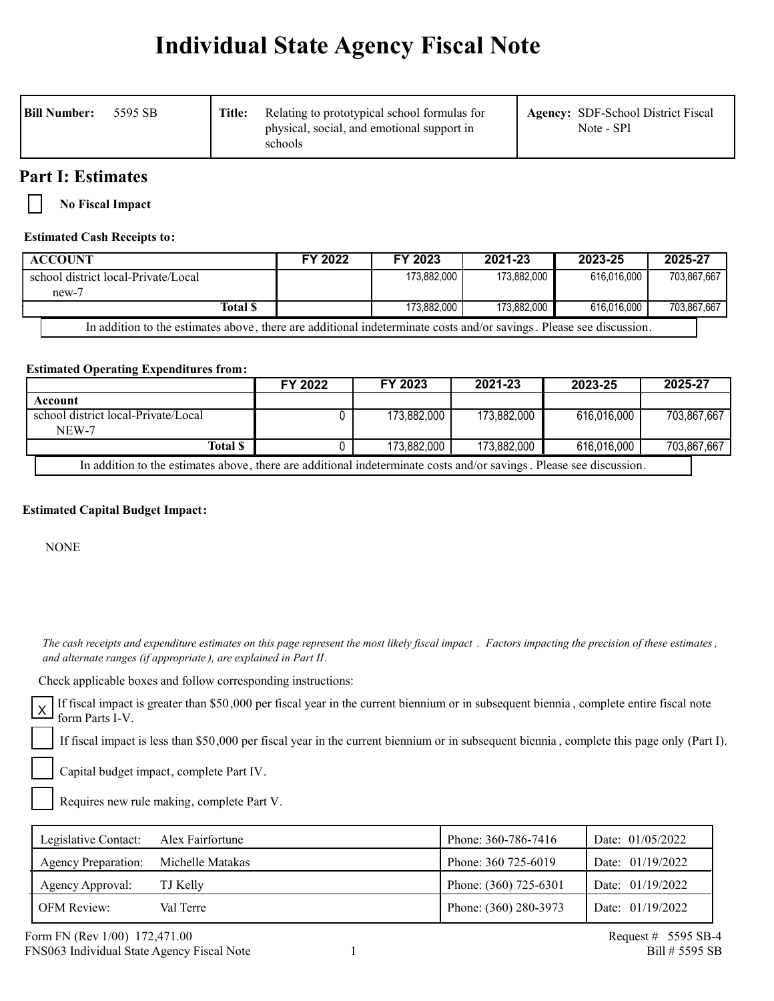# **Individual State Agency Fiscal Note**

| <b>Bill Number:</b><br>5595 SB | Title: | Relating to prototypical school formulas for<br>physical, social, and emotional support in<br>schools | <b>Agency:</b> SDF-School District Fiscal<br>Note - SPI |
|--------------------------------|--------|-------------------------------------------------------------------------------------------------------|---------------------------------------------------------|
|--------------------------------|--------|-------------------------------------------------------------------------------------------------------|---------------------------------------------------------|

# **Part I: Estimates**

**No Fiscal Impact**

## **Estimated Cash Receipts to:**

| <b>ACCOUNT</b>                                                                                                      | FY 2022 | FY 2023     | 2021-23     | 2023-25     | 2025-27     |
|---------------------------------------------------------------------------------------------------------------------|---------|-------------|-------------|-------------|-------------|
| school district local-Private/Local                                                                                 |         | 173.882.000 | 173.882.000 | 616.016.000 | 703.867.667 |
| $new-7$                                                                                                             |         |             |             |             |             |
| Total \$                                                                                                            |         | 173.882.000 | 173.882.000 | 616.016.000 | 703.867.667 |
| In addition to the estimates above, there are additional indeterminate costs and/or savings. Please see discussion. |         |             |             |             |             |

**Estimated Operating Expenditures from:**

|                                                                                                                     | FY 2022 | FY 2023     | 2021-23     | 2023-25     | 2025-27     |  |
|---------------------------------------------------------------------------------------------------------------------|---------|-------------|-------------|-------------|-------------|--|
| Account                                                                                                             |         |             |             |             |             |  |
| school district local-Private/Local                                                                                 |         | 173,882,000 | 173,882,000 | 616,016,000 | 703,867,667 |  |
| NEW-7                                                                                                               |         |             |             |             |             |  |
| <b>Total S</b>                                                                                                      |         | 173,882,000 | 173,882,000 | 616,016,000 | 703,867,667 |  |
| In addition to the estimates above, there are additional indeterminate costs and/or savings. Please see discussion. |         |             |             |             |             |  |

## **Estimated Capital Budget Impact:**

NONE

 *The cash receipts and expenditure estimates on this page represent the most likely fiscal impact . Factors impacting the precision of these estimates , and alternate ranges (if appropriate ), are explained in Part II.* 

Check applicable boxes and follow corresponding instructions:

If fiscal impact is greater than \$50,000 per fiscal year in the current biennium or in subsequent biennia , complete entire fiscal note  $X$   $\Gamma$  is used impact<br>form Parts I-V.

If fiscal impact is less than \$50,000 per fiscal year in the current biennium or in subsequent biennia , complete this page only (Part I).

Capital budget impact, complete Part IV.

Requires new rule making, complete Part V.

| Legislative Contact:       | Alex Fairfortune | Phone: 360-786-7416   | Date: 01/05/2022   |
|----------------------------|------------------|-----------------------|--------------------|
| <b>Agency Preparation:</b> | Michelle Matakas | Phone: 360 725-6019   | Date: $01/19/2022$ |
| Agency Approval:           | TJ Kelly         | Phone: (360) 725-6301 | Date: 01/19/2022   |
| <b>OFM Review:</b>         | Val Terre        | Phone: (360) 280-3973 | Date: 01/19/2022   |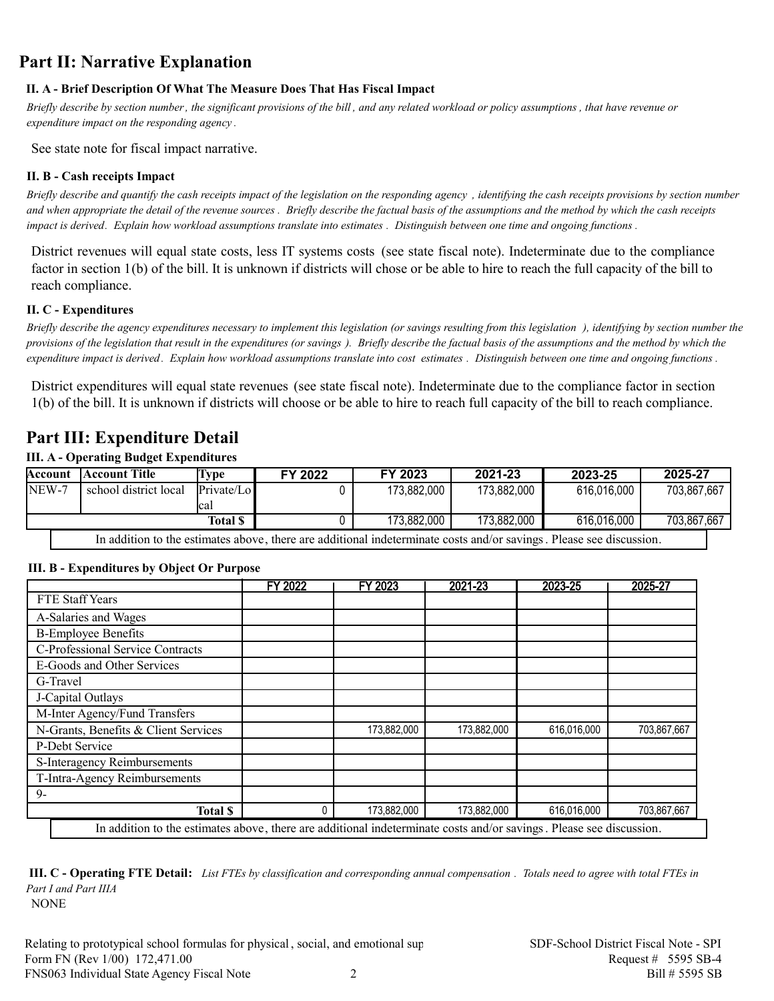# **Part II: Narrative Explanation**

## **II. A - Brief Description Of What The Measure Does That Has Fiscal Impact**

*Briefly describe by section number, the significant provisions of the bill , and any related workload or policy assumptions , that have revenue or expenditure impact on the responding agency .*

See state note for fiscal impact narrative.

## **II. B - Cash receipts Impact**

*Briefly describe and quantify the cash receipts impact of the legislation on the responding agency , identifying the cash receipts provisions by section number and when appropriate the detail of the revenue sources . Briefly describe the factual basis of the assumptions and the method by which the cash receipts impact is derived. Explain how workload assumptions translate into estimates . Distinguish between one time and ongoing functions .*

District revenues will equal state costs, less IT systems costs (see state fiscal note). Indeterminate due to the compliance factor in section 1(b) of the bill. It is unknown if districts will chose or be able to hire to reach the full capacity of the bill to reach compliance.

## **II. C - Expenditures**

*Briefly describe the agency expenditures necessary to implement this legislation (or savings resulting from this legislation ), identifying by section number the provisions of the legislation that result in the expenditures (or savings ). Briefly describe the factual basis of the assumptions and the method by which the expenditure impact is derived. Explain how workload assumptions translate into cost estimates . Distinguish between one time and ongoing functions .*

District expenditures will equal state revenues (see state fiscal note). Indeterminate due to the compliance factor in section 1(b) of the bill. It is unknown if districts will choose or be able to hire to reach full capacity of the bill to reach compliance.

# **Part III: Expenditure Detail**

## **III. A - Operating Budget Expenditures**

| Account | Account Title         | Lvpe               | FY 2022 | FY 2023     | 2021-23     | 2023-25     | 2025-27     |
|---------|-----------------------|--------------------|---------|-------------|-------------|-------------|-------------|
| NEW-7   | school district local | Private/Lo<br>lcal |         | 173,882,000 | 173,882,000 | 616,016,000 | 703,867,667 |
|         |                       | <b>Total \$</b>    |         | 173,882,000 | 173,882,000 | 616,016,000 | 703,867,667 |
|         |                       |                    |         |             |             |             |             |

In addition to the estimates above, there are additional indeterminate costs and/or savings. Please see discussion.

## **III. B - Expenditures by Object Or Purpose**

|                                      | FY 2022 | FY 2023     | 2021-23     | 2023-25     | 2025-27     |
|--------------------------------------|---------|-------------|-------------|-------------|-------------|
| FTE Staff Years                      |         |             |             |             |             |
| A-Salaries and Wages                 |         |             |             |             |             |
| <b>B-Employee Benefits</b>           |         |             |             |             |             |
| C-Professional Service Contracts     |         |             |             |             |             |
| E-Goods and Other Services           |         |             |             |             |             |
| G-Travel                             |         |             |             |             |             |
| J-Capital Outlays                    |         |             |             |             |             |
| M-Inter Agency/Fund Transfers        |         |             |             |             |             |
| N-Grants, Benefits & Client Services |         | 173,882,000 | 173,882,000 | 616,016,000 | 703,867,667 |
| P-Debt Service                       |         |             |             |             |             |
| S-Interagency Reimbursements         |         |             |             |             |             |
| T-Intra-Agency Reimbursements        |         |             |             |             |             |
| $9-$                                 |         |             |             |             |             |
| <b>Total S</b>                       |         | 173,882,000 | 173,882,000 | 616,016,000 | 703,867,667 |

*Part I and Part IIIA* **III. C - Operating FTE Detail:** *List FTEs by classification and corresponding annual compensation . Totals need to agree with total FTEs in* 

NONE